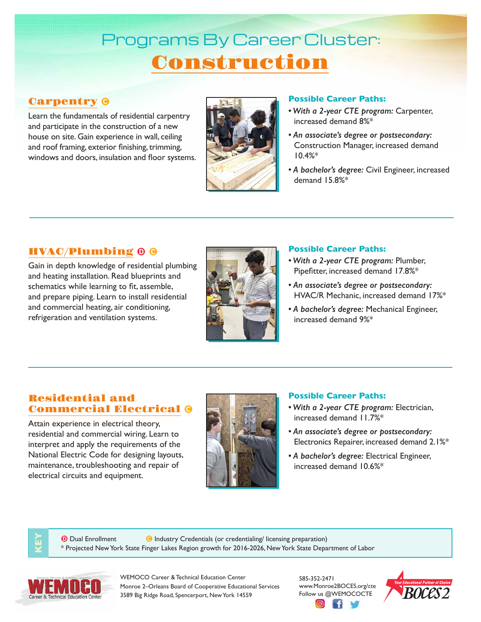# Programs By Career Cluster: Construction

### **Carpentry 0**

Learn the fundamentals of residential carpentry and participate in the construction of a new house on site. Gain experience in wall, ceiling and roof framing, exterior finishing, trimming, windows and doors, insulation and floor systems.



#### **Possible Career Paths:**

- *With a 2-year CTE program:* Carpenter, increased demand 8%\*
- *An associate's degree or postsecondary:* Construction Manager, increased demand 10.4%\*
- *A bachelor's degree:* Civil Engineer, increased demand 15.8%\*

## HVAC/Plumbing

Gain in depth knowledge of residential plumbing and heating installation. Read blueprints and schematics while learning to fit, assemble, and prepare piping. Learn to install residential and commercial heating, air conditioning, refrigeration and ventilation systems.



#### **Possible Career Paths:**

- *With a 2-year CTE program:* Plumber, Pipefitter, increased demand 17.8%\*
- *An associate's degree or postsecondary:* HVAC/R Mechanic, increased demand 17%\*
- *A bachelor's degree:* Mechanical Engineer, increased demand 9%\*

#### Residential and Commercial Electrical

Attain experience in electrical theory, residential and commercial wiring. Learn to interpret and apply the requirements of the National Electric Code for designing layouts, maintenance, troubleshooting and repair of electrical circuits and equipment.



#### **Possible Career Paths:**

- *With a 2-year CTE program:* Electrician, increased demand 11.7%\*
- *An associate's degree or postsecondary:*  Electronics Repairer, increased demand 2.1%\*
- *A bachelor's degree:* Electrical Engineer, increased demand 10.6%\*

**D** Dual Enrollment **Industry Credentials (or credentialing/ licensing preparation)** \* Projected New York State Finger Lakes Region growth for 2016-2026, New York State Department of Labor



**KEY**

WEMOCO Career & Technical Education Center Monroe 2–Orleans Board of Cooperative Educational Services 3589 Big Ridge Road, Spencerport, New York 14559

585-352-2471 www.Monroe2BOCES.org/cte Follow us @WEMOCOCTE